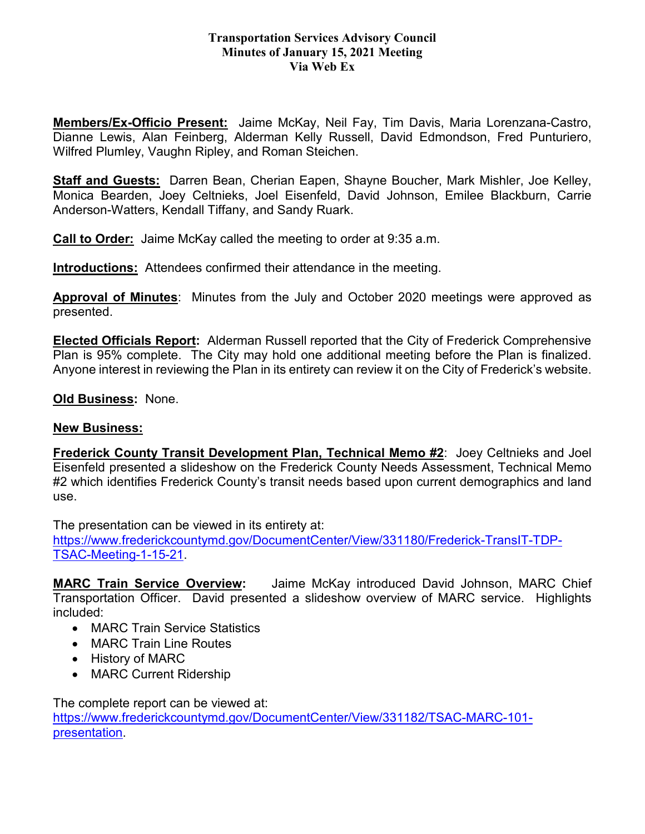## **Transportation Services Advisory Council Minutes of January 15, 2021 Meeting Via Web Ex**

**Members/Ex-Officio Present:** Jaime McKay, Neil Fay, Tim Davis, Maria Lorenzana-Castro, Dianne Lewis, Alan Feinberg, Alderman Kelly Russell, David Edmondson, Fred Punturiero, Wilfred Plumley, Vaughn Ripley, and Roman Steichen.

**Staff and Guests:** Darren Bean, Cherian Eapen, Shayne Boucher, Mark Mishler, Joe Kelley, Monica Bearden, Joey Celtnieks, Joel Eisenfeld, David Johnson, Emilee Blackburn, Carrie Anderson-Watters, Kendall Tiffany, and Sandy Ruark.

**Call to Order:** Jaime McKay called the meeting to order at 9:35 a.m.

**Introductions:** Attendees confirmed their attendance in the meeting.

**Approval of Minutes**: Minutes from the July and October 2020 meetings were approved as presented.

**Elected Officials Report:** Alderman Russell reported that the City of Frederick Comprehensive Plan is 95% complete. The City may hold one additional meeting before the Plan is finalized. Anyone interest in reviewing the Plan in its entirety can review it on the City of Frederick's website.

**Old Business:** None.

## **New Business:**

**Frederick County Transit Development Plan, Technical Memo #2**: Joey Celtnieks and Joel Eisenfeld presented a slideshow on the Frederick County Needs Assessment, Technical Memo #2 which identifies Frederick County's transit needs based upon current demographics and land use.

The presentation can be viewed in its entirety at: [https://www.frederickcountymd.gov/DocumentCenter/View/331180/Frederick-TransIT-TDP-](https://www.frederickcountymd.gov/DocumentCenter/View/331180/Frederick-TransIT-TDP-TSAC-Meeting-1-15-21)[TSAC-Meeting-1-15-21.](https://www.frederickcountymd.gov/DocumentCenter/View/331180/Frederick-TransIT-TDP-TSAC-Meeting-1-15-21)

**MARC Train Service Overview:** Jaime McKay introduced David Johnson, MARC Chief Transportation Officer. David presented a slideshow overview of MARC service. Highlights included:

- MARC Train Service Statistics
- MARC Train Line Routes
- History of MARC
- MARC Current Ridership

The complete report can be viewed at: [https://www.frederickcountymd.gov/DocumentCenter/View/331182/TSAC-MARC-101](https://www.frederickcountymd.gov/DocumentCenter/View/331182/TSAC-MARC-101-presentation) [presentation.](https://www.frederickcountymd.gov/DocumentCenter/View/331182/TSAC-MARC-101-presentation)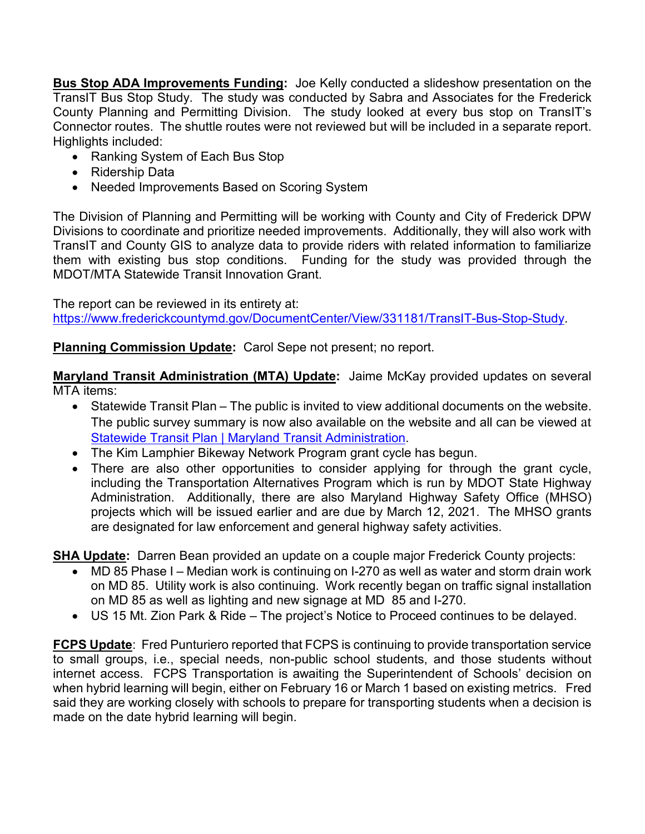**Bus Stop ADA Improvements Funding:** Joe Kelly conducted a slideshow presentation on the TransIT Bus Stop Study. The study was conducted by Sabra and Associates for the Frederick County Planning and Permitting Division. The study looked at every bus stop on TransIT's Connector routes. The shuttle routes were not reviewed but will be included in a separate report. Highlights included:

- Ranking System of Each Bus Stop
- Ridership Data
- Needed Improvements Based on Scoring System

The Division of Planning and Permitting will be working with County and City of Frederick DPW Divisions to coordinate and prioritize needed improvements. Additionally, they will also work with TransIT and County GIS to analyze data to provide riders with related information to familiarize them with existing bus stop conditions. Funding for the study was provided through the MDOT/MTA Statewide Transit Innovation Grant.

The report can be reviewed in its entirety at:

[https://www.frederickcountymd.gov/DocumentCenter/View/331181/TransIT-Bus-Stop-Study.](https://www.frederickcountymd.gov/DocumentCenter/View/331181/TransIT-Bus-Stop-Study)

## **Planning Commission Update:** Carol Sepe not present; no report.

**Maryland Transit Administration (MTA) Update:** Jaime McKay provided updates on several MTA items:

- Statewide Transit Plan The public is invited to view additional documents on the website. The public survey summary is now also available on the website and all can be viewed at [Statewide Transit Plan | Maryland Transit Administration.](https://www.mta.maryland.gov/statewide-plan)
- The Kim Lamphier Bikeway Network Program grant cycle has begun.
- There are also other opportunities to consider applying for through the grant cycle, including the Transportation Alternatives Program which is run by MDOT State Highway Administration. Additionally, there are also Maryland Highway Safety Office (MHSO) projects which will be issued earlier and are due by March 12, 2021. The MHSO grants are designated for law enforcement and general highway safety activities.

**SHA Update:** Darren Bean provided an update on a couple major Frederick County projects:

- MD 85 Phase I Median work is continuing on I-270 as well as water and storm drain work on MD 85. Utility work is also continuing. Work recently began on traffic signal installation on MD 85 as well as lighting and new signage at MD 85 and I-270.
- US 15 Mt. Zion Park & Ride The project's Notice to Proceed continues to be delayed.

**FCPS Update**: Fred Punturiero reported that FCPS is continuing to provide transportation service to small groups, i.e., special needs, non-public school students, and those students without internet access. FCPS Transportation is awaiting the Superintendent of Schools' decision on when hybrid learning will begin, either on February 16 or March 1 based on existing metrics. Fred said they are working closely with schools to prepare for transporting students when a decision is made on the date hybrid learning will begin.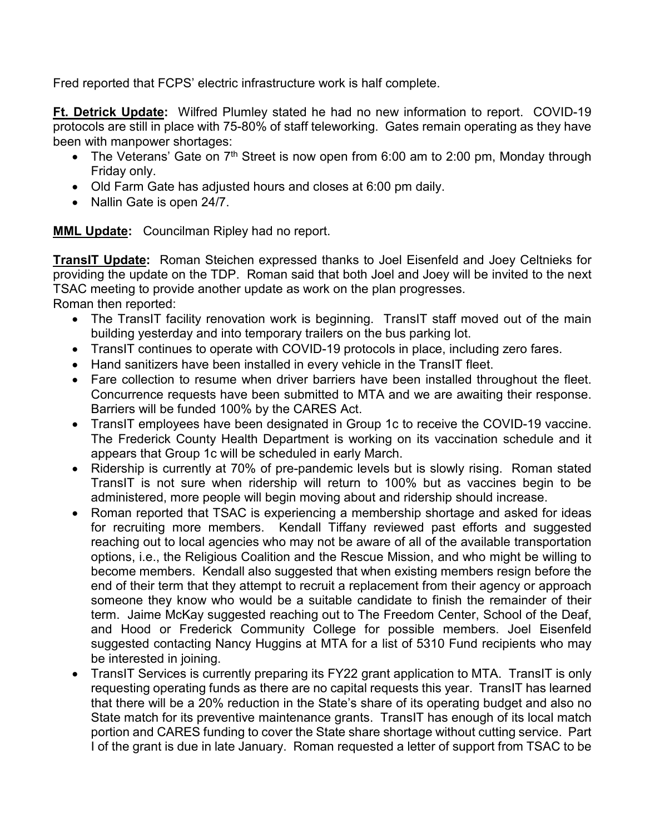Fred reported that FCPS' electric infrastructure work is half complete.

**Ft. Detrick Update:** Wilfred Plumley stated he had no new information to report. COVID-19 protocols are still in place with 75-80% of staff teleworking. Gates remain operating as they have been with manpower shortages:

- The Veterans' Gate on  $7<sup>th</sup>$  Street is now open from 6:00 am to 2:00 pm, Monday through Friday only.
- Old Farm Gate has adjusted hours and closes at 6:00 pm daily.
- Nallin Gate is open 24/7.

**MML Update:** Councilman Ripley had no report.

**TransIT Update:** Roman Steichen expressed thanks to Joel Eisenfeld and Joey Celtnieks for providing the update on the TDP. Roman said that both Joel and Joey will be invited to the next TSAC meeting to provide another update as work on the plan progresses.

Roman then reported:

- The TransIT facility renovation work is beginning. TransIT staff moved out of the main building yesterday and into temporary trailers on the bus parking lot.
- TransIT continues to operate with COVID-19 protocols in place, including zero fares.
- Hand sanitizers have been installed in every vehicle in the TransIT fleet.
- Fare collection to resume when driver barriers have been installed throughout the fleet. Concurrence requests have been submitted to MTA and we are awaiting their response. Barriers will be funded 100% by the CARES Act.
- TransIT employees have been designated in Group 1c to receive the COVID-19 vaccine. The Frederick County Health Department is working on its vaccination schedule and it appears that Group 1c will be scheduled in early March.
- Ridership is currently at 70% of pre-pandemic levels but is slowly rising. Roman stated TransIT is not sure when ridership will return to 100% but as vaccines begin to be administered, more people will begin moving about and ridership should increase.
- Roman reported that TSAC is experiencing a membership shortage and asked for ideas for recruiting more members. Kendall Tiffany reviewed past efforts and suggested reaching out to local agencies who may not be aware of all of the available transportation options, i.e., the Religious Coalition and the Rescue Mission, and who might be willing to become members. Kendall also suggested that when existing members resign before the end of their term that they attempt to recruit a replacement from their agency or approach someone they know who would be a suitable candidate to finish the remainder of their term. Jaime McKay suggested reaching out to The Freedom Center, School of the Deaf, and Hood or Frederick Community College for possible members. Joel Eisenfeld suggested contacting Nancy Huggins at MTA for a list of 5310 Fund recipients who may be interested in joining.
- TransIT Services is currently preparing its FY22 grant application to MTA. TransIT is only requesting operating funds as there are no capital requests this year. TransIT has learned that there will be a 20% reduction in the State's share of its operating budget and also no State match for its preventive maintenance grants. TransIT has enough of its local match portion and CARES funding to cover the State share shortage without cutting service. Part I of the grant is due in late January. Roman requested a letter of support from TSAC to be